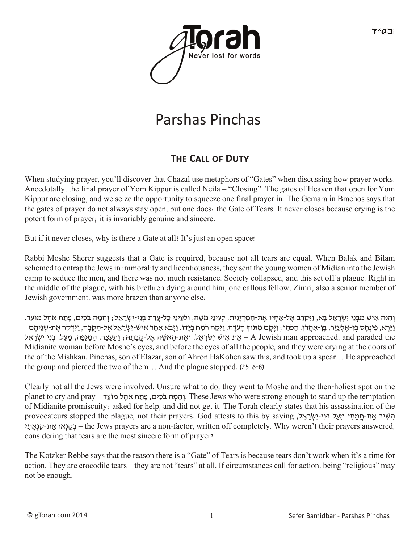

# Parshas Pinchas

#### **THE CALL OF DUTY**

When studying prayer, you'll discover that Chazal use metaphors of "Gates" when discussing how prayer works. Anecdotally, the final prayer of Yom Kippur is called Neila – "Closing". The gates of Heaven that open for Yom Kippur are closing, and we seize the opportunity to squeeze one final prayer in. The Gemara in Brachos says that the gates of prayer do not always stay open, but one does: the Gate of Tears. It never closes because crying is the potent form of prayer; it is invariably genuine and sincere.

But if it never closes, why is there a Gate at all? It's just an open space!

Rabbi Moshe Sherer suggests that a Gate is required, because not all tears are equal. When Balak and Bilam schemed to entrap the Jews in immorality and licentiousness, they sent the young women of Midian into the Jewish camp to seduce the men, and there was not much resistance. Society collapsed, and this set off a plague. Right in the middle of the plague, with his brethren dying around him, one callous fellow, Zimri, also a senior member of Jewish government, was more brazen than anyone else:

וְהָנֵּה אִישׁ מִבְּנֵי יִשְׂרָאֵל בָא, וַיַּקְרֵב אֶל-אֶחָיו אֶת-הַמְּדְיַנִית, לְעֵינֵי מֹשֶׁה, וּלְעֵינֵי כָּל-עֲדַת בְּנֵי-יִשְׂרָאֵל; וְהֵמֶה בֹכִים, פֶתַח אֹהֶל מוֹעֵד. - וַיַּרְא, פִינְחָס בֵן-אֵלְעָזֶר, בֵן-אַהֲרֹן, הַכֹּהֵן , וַיָּקָם מִתּוֹךְ הָעֵדָה, וַיִּקַח רֹמַח בִיָּדו. וַיָּבֹא אַחַר אִיש-יִשְׂרָאֵל אֵל-הַקָבָה, וַיִּדְקֹר אֵת-שִׁנֵיהֶם– יִשְׂרָאֱל, וְאֱת-הָאִשָּׁה אֱל-קֲבָתָהּ; וַתֵּעֲצַר, הַמַּגְּפָה, מֵעַל, בְּנֵי יִשְׂרָאֱל, A Jewish man approached, and paraded the Midianite woman before Moshe's eyes, and before the eyes of all the people, and they were crying at the doors of the of the Mishkan. Pinchas, son of Elazar, son of Ahron HaKohen saw this, and took up a spear… He approached the group and pierced the two of them... And the plague stopped.  $(25:6-8)$ 

Clearly not all the Jews were involved. Unsure what to do, they went to Moshe and the then-holiest spot on the planet to cry and pray - והמה בכים, פתח אהל מוֹעד. These Jews who were strong enough to stand up the temptation of Midianite promiscuity; asked for help, and did not get it. The Torah clearly states that his assassination of the הֵשִׁיב אֶת-חֲמַתִי מֵעַל בְּנֵי-יִשְׂרָאֵל, provocateurs stopped the plague, not their prayers. God attests to this by saying י ִאתְָנ ִק-ת ֶא ֹאוְנ ַקּ ְב – the Jews prayers are a non-factor, written off completely. Why weren't their prayers answered, considering that tears are the most sincere form of prayer?

The Kotzker Rebbe says that the reason there is a "Gate" of Tears is because tears don't work when it's a time for action. They are crocodile tears – they are not "tears" at all. If circumstances call for action, being "religious" may not be enough.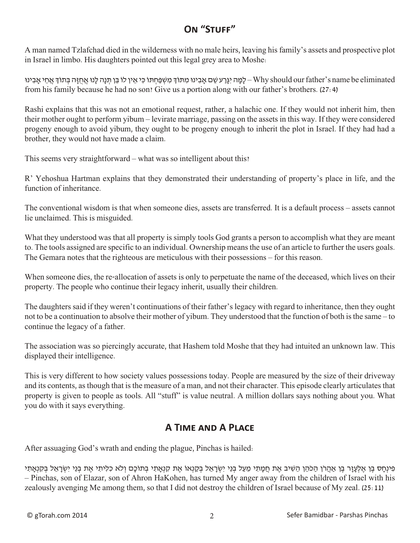#### **On "Stuff"**

A man named Tzlafchad died in the wilderness with no male heirs, leaving his family's assets and prospective plot in Israel in limbo. His daughters pointed out this legal grey area to Moshe:

לָמַה יגִּרְע שִם אָבִינוּ מִתּוֹךְ מִשְׁפַּחְתּוֹ כֵּי אִין לוֹ בֵּוְ וּתְנָה לָּנוּ אִחזָה בִּתוֹךְ אִחִי אבִינו – Why should our father's name be eliminated from his family because he had no son? Give us a portion along with our father's brothers. (27:4)

Rashi explains that this was not an emotional request, rather, a halachic one. If they would not inherit him, then their mother ought to perform yibum – levirate marriage, passing on the assets in this way. If they were considered progeny enough to avoid yibum, they ought to be progeny enough to inherit the plot in Israel. If they had had a brother, they would not have made a claim.

This seems very straightforward – what was so intelligent about this?

R' Yehoshua Hartman explains that they demonstrated their understanding of property's place in life, and the function of inheritance.

The conventional wisdom is that when someone dies, assets are transferred. It is a default process – assets cannot lie unclaimed. This is misguided.

What they understood was that all property is simply tools God grants a person to accomplish what they are meant to. The tools assigned are specific to an individual. Ownership means the use of an article to further the users goals. The Gemara notes that the righteous are meticulous with their possessions – for this reason.

When someone dies, the re-allocation of assets is only to perpetuate the name of the deceased, which lives on their property. The people who continue their legacy inherit, usually their children.

The daughters said if they weren't continuations of their father's legacy with regard to inheritance, then they ought not to be a continuation to absolve their mother of yibum. They understood that the function of both is the same – to continue the legacy of a father.

The association was so piercingly accurate, that Hashem told Moshe that they had intuited an unknown law. This displayed their intelligence.

This is very different to how society values possessions today. People are measured by the size of their driveway and its contents, as though that is the measure of a man, and not their character. This episode clearly articulates that property is given to people as tools. All "stuff" is value neutral. A million dollars says nothing about you. What you do with it says everything.

### **A Time and A Place**

After assuaging God's wrath and ending the plague, Pinchas is hailed:

פִינחָס בַּן אַלְעָזֶר בַּן אַהְרֹן הַכֹּהֵן הַשִּׁיב אֶת חַמְתִי מַעַל בַּנַי יִשְׂרָאל בְקַנְאתֵי (בְּנֵי יִשְׂרָאל בְקַנְאתֵי -– Pinchas, son of Elazar, son of Ahron HaKohen, has turned My anger away from the children of Israel with his zealously avenging Me among them, so that I did not destroy the children of Israel because of My zeal. (25:11)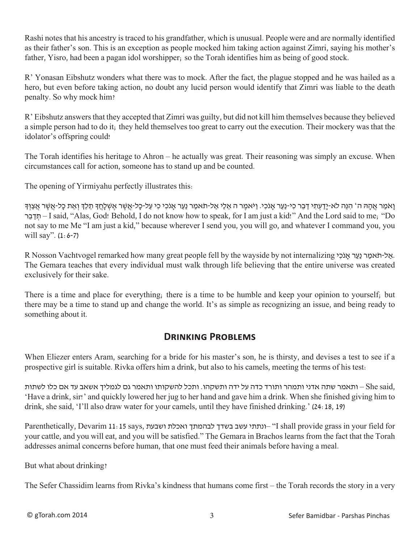Rashi notes that his ancestry is traced to his grandfather, which is unusual. People were and are normally identified as their father's son. This is an exception as people mocked him taking action against Zimri, saying his mother's father, Yisro, had been a pagan idol worshipper; so the Torah identifies him as being of good stock.

R' Yonasan Eibshutz wonders what there was to mock. After the fact, the plague stopped and he was hailed as a hero, but even before taking action, no doubt any lucid person would identify that Zimri was liable to the death penalty. So why mock him?

R' Eibshutz answers that they accepted that Zimri was guilty, but did not kill him themselves because they believed a simple person had to do it; they held themselves too great to carry out the execution. Their mockery was that the idolator's offspring could!

The Torah identifies his heritage to Ahron – he actually was great. Their reasoning was simply an excuse. When circumstances call for action, someone has to stand up and be counted.

The opening of Yirmiyahu perfectly illustrates this:

וַאֹמַר אֲהָה ה' הִנֶּה לֹא-יַדַעְתִי דַּבֶר כִי-נַעַר אֲנֹכִי. וַיֹּאמֶר ה אֲלֵי אֲל-תֹּאמַר נַעַר אֲנֹכִי כִי עַל-כַּל-אֲשֶׁר אֲשָׁלָחַךְ תַּלֶדְ וְאֶת כַּל-אֲשֶׁר אֶצְוּךָ רּ ֵב ַדּ ְת – I said, "Alas, God! Behold, I do not know how to speak, for I am just a kid!" And the Lord said to me; "Do not say to me Me "I am just a kid," because wherever I send you, you will go, and whatever I command you, you will say". (1:6-7)

R Nosson Vachtvogel remarked how many great people fell by the wayside by not internalizing י.אל-תאמר נער אלכי The Gemara teaches that every individual must walk through life believing that the entire universe was created exclusively for their sake.

There is a time and place for everything; there is a time to be humble and keep your opinion to yourself; but there may be a time to stand up and change the world. It's as simple as recognizing an issue, and being ready to something about it.

#### **Drinking Problems**

When Eliezer enters Aram, searching for a bride for his master's son, he is thirsty, and devises a test to see if a prospective girl is suitable. Rivka offers him a drink, but also to his camels, meeting the terms of his test:

,She said – ותאמר שתה אדני ותמהר ותורד כדה על ידה ותשקהו. ותכל להשקותו ותאמר גם לגמליך אשאב עד אם כלו לשתות 'Have a drink, sir!' and quickly lowered her jug to her hand and gave him a drink. When she finished giving him to drink, she said, 'I'll also draw water for your camels, until they have finished drinking.' (24:18, 19)

Parenthetically, Devarim 11:15 says, וואכלת ושבעת ואכלת ונעשב בשדך שה-11 fall provide grass in your field for your cattle, and you will eat, and you will be satisfied." The Gemara in Brachos learns from the fact that the Torah addresses animal concerns before human, that one must feed their animals before having a meal.

But what about drinking?

The Sefer Chassidim learns from Rivka's kindness that humans come first – the Torah records the story in a very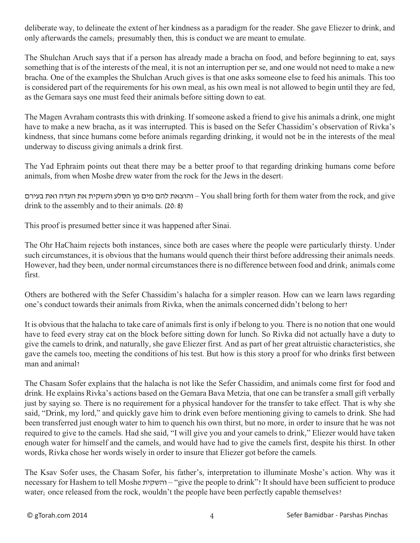deliberate way, to delineate the extent of her kindness as a paradigm for the reader. She gave Eliezer to drink, and only afterwards the camels; presumably then, this is conduct we are meant to emulate.

The Shulchan Aruch says that if a person has already made a bracha on food, and before beginning to eat, says something that is of the interests of the meal, it is not an interruption per se, and one would not need to make a new bracha. One of the examples the Shulchan Aruch gives is that one asks someone else to feed his animals. This too is considered part of the requirements for his own meal, as his own meal is not allowed to begin until they are fed, as the Gemara says one must feed their animals before sitting down to eat.

The Magen Avraham contrasts this with drinking. If someone asked a friend to give his animals a drink, one might have to make a new bracha, as it was interrupted. This is based on the Sefer Chassidim's observation of Rivka's kindness, that since humans come before animals regarding drinking, it would not be in the interests of the meal underway to discuss giving animals a drink first.

The Yad Ephraim points out theat there may be a better proof to that regarding drinking humans come before animals, from when Moshe drew water from the rock for the Jews in the desert:

והוצאת להם מים מן הסלע והשקית את העדה ואת בעירם– You shall bring forth for them water from the rock, and give drink to the assembly and to their animals. (20:8)

This proof is presumed better since it was happened after Sinai.

The Ohr HaChaim rejects both instances, since both are cases where the people were particularly thirsty. Under such circumstances, it is obvious that the humans would quench their thirst before addressing their animals needs. However, had they been, under normal circumstances there is no difference between food and drink; animals come first.

Others are bothered with the Sefer Chassidim's halacha for a simpler reason. How can we learn laws regarding one's conduct towards their animals from Rivka, when the animals concerned didn't belong to her?

It is obvious that the halacha to take care of animals first is only if belong to you. There is no notion that one would have to feed every stray cat on the block before sitting down for lunch. So Rivka did not actually have a duty to give the camels to drink, and naturally, she gave Eliezer first. And as part of her great altruistic characteristics, she gave the camels too, meeting the conditions of his test. But how is this story a proof for who drinks first between man and animal?

The Chasam Sofer explains that the halacha is not like the Sefer Chassidim, and animals come first for food and drink. He explains Rivka's actions based on the Gemara Bava Metzia, that one can be transfer a small gift verbally just by saying so. There is no requirement for a physical handover for the transfer to take effect. That is why she said, "Drink, my lord," and quickly gave him to drink even before mentioning giving to camels to drink. She had been transferred just enough water to him to quench his own thirst, but no more, in order to insure that he was not required to give to the camels. Had she said, "I will give you and your camels to drink," Eliezer would have taken enough water for himself and the camels, and would have had to give the camels first, despite his thirst. In other words, Rivka chose her words wisely in order to insure that Eliezer got before the camels.

The Ksav Sofer uses, the Chasam Sofer, his father's, interpretation to illuminate Moshe's action. Why was it necessary for Hashem to tell Moshe והשקית" – give the people to drink"? It should have been sufficient to produce water; once released from the rock, wouldn't the people have been perfectly capable themselves?